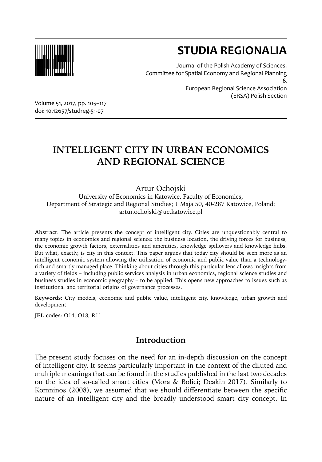

# **STUDIA REGIONALIA**

Journal of the Polish Academy of Sciences: Committee for Spatial Economy and Regional Planning &

European Regional Science Association (ERSA) Polish Section

Volume 51, 2017, pp. 105–117 doi: 10.12657/studreg-51-07

## **INTELLIGENT CITY IN URBAN ECONOMICS AND REGIONAL SCIENCE**

Artur Ochojski

University of Economics in Katowice, Faculty of Economics, Department of Strategic and Regional Studies; 1 Maja 50, 40-287 Katowice, Poland; artur.ochojski@ue.katowice.pl

**Abstract**: The article presents the concept of intelligent city. Cities are unquestionably central to many topics in economics and regional science: the business location, the driving forces for business, the economic growth factors, externalities and amenities, knowledge spillovers and knowledge hubs. But what, exactly, is city in this context. This paper argues that today city should be seen more as an intelligent economic system allowing the utilisation of economic and public value than a technologyrich and smartly managed place. Thinking about cities through this particular lens allows insights from a variety of fields – including public services analysis in urban economics, regional science studies and business studies in economic geography – to be applied. This opens new approaches to issues such as institutional and territorial origins of governance processes.

**Keywords**: City models, economic and public value, intelligent city, knowledge, urban growth and development.

**JEL codes**: O14, O18, R11

## **Introduction**

The present study focuses on the need for an in-depth discussion on the concept of intelligent city. It seems particularly important in the context of the diluted and multiple meanings that can be found in the studies published in the last two decades on the idea of so-called smart cities (Mora & Bolici; Deakin 2017). Similarly to Komninos (2008), we assumed that we should differentiate between the specific nature of an intelligent city and the broadly understood smart city concept. In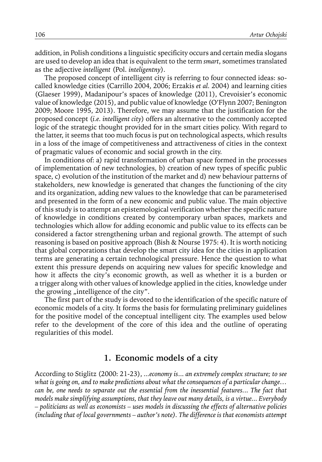addition, in Polish conditions a linguistic specificity occurs and certain media slogans are used to develop an idea that is equivalent to the term *smart*, sometimes translated as the adjective *intelligent* (Pol. *inteligentny*).

The proposed concept of intelligent city is referring to four connected ideas: socalled knowledge cities (Carrillo 2004, 2006; Erzakis *et al.* 2004) and learning cities (Glaeser 1999), Madanipour's spaces of knowledge (2011), Crevoisier's economic value of knowledge (2015), and public value of knowledge (O'Flynn 2007; Benington 2009; Moore 1995, 2013). Therefore, we may assume that the justification for the proposed concept (*i.e. intelligent city*) offers an alternative to the commonly accepted logic of the strategic thought provided for in the smart cities policy. With regard to the latter, it seems that too much focus is put on technological aspects, which results in a loss of the image of competitiveness and attractiveness of cities in the context of pragmatic values of economic and social growth in the city.

In conditions of: a) rapid transformation of urban space formed in the processes of implementation of new technologies, b) creation of new types of specific public space, c) evolution of the institution of the market and d) new behaviour patterns of stakeholders, new knowledge is generated that changes the functioning of the city and its organization, adding new values to the knowledge that can be parameterised and presented in the form of a new economic and public value. The main objective of this study is to attempt an epistemological verification whether the specific nature of knowledge in conditions created by contemporary urban spaces, markets and technologies which allow for adding economic and public value to its effects can be considered a factor strengthening urban and regional growth. The attempt of such reasoning is based on positive approach (Bish & Nourse 1975: 4). It is worth noticing that global corporations that develop the smart city idea for the cities in application terms are generating a certain technological pressure. Hence the question to what extent this pressure depends on acquiring new values for specific knowledge and how it affects the city's economic growth, as well as whether it is a burden or a trigger along with other values of knowledge applied in the cities, knowledge under the growing "intelligence of the city".

The first part of the study is devoted to the identification of the specific nature of economic models of a city. It forms the basis for formulating preliminary guidelines for the positive model of the conceptual intelligent city. The examples used below refer to the development of the core of this idea and the outline of operating regularities of this model.

#### **1. Economic models of a city**

According to Stiglitz (2000: 21-23), *...economy is*... *an extremely complex structure; to see what is going on, and to make predictions about what the consequences of a particular change… can be, one needs to separate out the essential from the inessential features.*.. *The fact that models make simplifying assumptions, that they leave out many details, is a virtue... Everybody – politicians as well as economists – uses models in discussing the effects of alternative policies (including that of local governments – author's note). The difference is that economists attempt*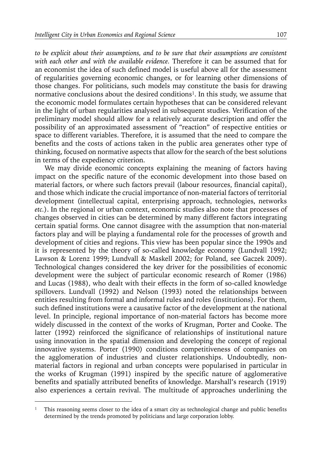*to be explicit about their assumptions, and to be sure that their assumptions are consistent with each other and with the available evidence.* Therefore it can be assumed that for an economist the idea of such defined model is useful above all for the assessment of regularities governing economic changes, or for learning other dimensions of those changes. For politicians, such models may constitute the basis for drawing normative conclusions about the desired conditions<sup>1</sup>. In this study, we assume that the economic model formulates certain hypotheses that can be considered relevant in the light of urban regularities analysed in subsequent studies. Verification of the preliminary model should allow for a relatively accurate description and offer the possibility of an approximated assessment of "reaction" of respective entities or space to different variables. Therefore, it is assumed that the need to compare the benefits and the costs of actions taken in the public area generates other type of thinking, focused on normative aspects that allow for the search of the best solutions in terms of the expediency criterion.

We may divide economic concepts explaining the meaning of factors having impact on the specific nature of the economic development into those based on material factors, or where such factors prevail (labour resources, financial capital), and those which indicate the crucial importance of non-material factors of territorial development (intellectual capital, enterprising approach, technologies, networks *etc.*). In the regional or urban context, economic studies also note that processes of changes observed in cities can be determined by many different factors integrating certain spatial forms. One cannot disagree with the assumption that non-material factors play and will be playing a fundamental role for the processes of growth and development of cities and regions. This view has been popular since the 1990s and it is represented by the theory of so-called knowledge economy (Lundvall 1992; Lawson & Lorenz 1999; Lundvall & Maskell 2002; for Poland, see Gaczek 2009). Technological changes considered the key driver for the possibilities of economic development were the subject of particular economic research of Romer (1986) and Lucas (1988), who dealt with their effects in the form of so-called knowledge spillovers. Lundvall (1992) and Nelson (1993) noted the relationships between entities resulting from formal and informal rules and roles (institutions). For them, such defined institutions were a causative factor of the development at the national level. In principle, regional importance of non-material factors has become more widely discussed in the context of the works of Krugman, Porter and Cooke. The latter (1992) reinforced the significance of relationships of institutional nature using innovation in the spatial dimension and developing the concept of regional innovative systems. Porter (1990) conditions competitiveness of companies on the agglomeration of industries and cluster relationships. Undoubtedly, nonmaterial factors in regional and urban concepts were popularised in particular in the works of Krugman (1991) inspired by the specific nature of agglomerative benefits and spatially attributed benefits of knowledge. Marshall's research (1919) also experiences a certain revival. The multitude of approaches underlining the

<sup>&</sup>lt;sup>1</sup> This reasoning seems closer to the idea of a smart city as technological change and public benefits determined by the trends promoted by politicians and large corporation lobby.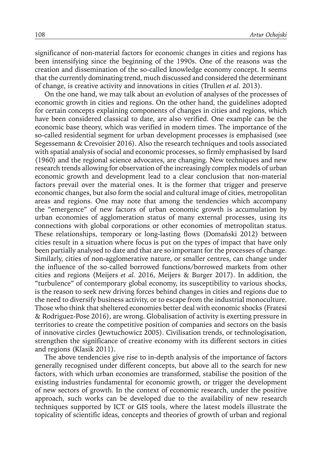significance of non-material factors for economic changes in cities and regions has been intensifying since the beginning of the 1990s. One of the reasons was the creation and dissemination of the so-called knowledge economy concept. It seems that the currently dominating trend, much discussed and considered the determinant of change, is creative activity and innovations in cities (Trullen *et al.* 2013).

On the one hand, we may talk about an evolution of analyses of the processes of economic growth in cities and regions. On the other hand, the guidelines adopted for certain concepts explaining components of changes in cities and regions, which have been considered classical to date, are also verified. One example can be the economic base theory, which was verified in modern times. The importance of the so-called residential segment for urban development processes is emphasised (see Segessemann & Crevoisier 2016). Also the research techniques and tools associated with spatial analysis of social and economic processes, so firmly emphasised by Isard (1960) and the regional science advocates, are changing. New techniques and new research trends allowing for observation of the increasingly complex models of urban economic growth and development lead to a clear conclusion that non-material factors prevail over the material ones. It is the former that trigger and preserve economic changes, but also form the social and cultural image of cities, metropolitan areas and regions. One may note that among the tendencies which accompany the "emergence" of new factors of urban economic growth is accumulation by urban economies of agglomeration status of many external processes, using its connections with global corporations or other economies of metropolitan status. These relationships, temporary or long-lasting flows (Domański 2012) between cities result in a situation where focus is put on the types of impact that have only been partially analysed to date and that are so important for the processes of change. Similarly, cities of non-agglomerative nature, or smaller centres, can change under the influence of the so-called borrowed functions/borrowed markets from other cities and regions (Meijers *et al.* 2016, Meijers & Burger 2017). In addition, the "turbulence" of contemporary global economy, its susceptibility to various shocks, is the reason to seek new driving forces behind changes in cities and regions due to the need to diversify business activity, or to escape from the industrial monoculture. Those who think that sheltered economies better deal with economic shocks (Fratesi & Rodriguez-Pose 2016), are wrong. Globalisation of activity is exerting pressure in territories to create the competitive position of companies and sectors on the basis of innovative circles (Jewtuchowicz 2005). Civilisation trends, or technologisation, strengthen the significance of creative economy with its different sectors in cities and regions (Klasik 2011).

The above tendencies give rise to in-depth analysis of the importance of factors generally recognised under different concepts, but above all to the search for new factors, with which urban economies are transformed, stabilise the position of the existing industries fundamental for economic growth, or trigger the development of new sectors of growth. In the context of economic research, under the positive approach, such works can be developed due to the availability of new research techniques supported by ICT or GIS tools, where the latest models illustrate the topicality of scientific ideas, concepts and theories of growth of urban and regional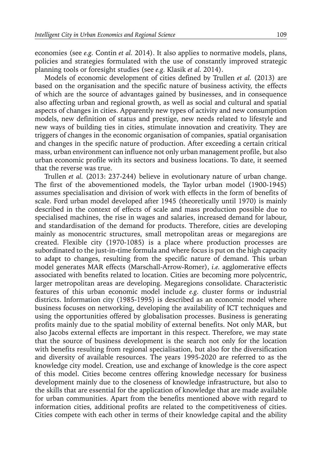economies (see *e.g.* Contin *et al.* 2014). It also applies to normative models, plans, policies and strategies formulated with the use of constantly improved strategic planning tools or foresight studies (see *e.g.* Klasik *et al.* 2014).

Models of economic development of cities defined by Trullen *et al.* (2013) are based on the organisation and the specific nature of business activity, the effects of which are the source of advantages gained by businesses, and in consequence also affecting urban and regional growth, as well as social and cultural and spatial aspects of changes in cities. Apparently new types of activity and new consumption models, new definition of status and prestige, new needs related to lifestyle and new ways of building ties in cities, stimulate innovation and creativity. They are triggers of changes in the economic organisation of companies, spatial organisation and changes in the specific nature of production. After exceeding a certain critical mass, urban environment can influence not only urban management profile, but also urban economic profile with its sectors and business locations. To date, it seemed that the reverse was true.

Trullen *et al.* (2013: 237-244) believe in evolutionary nature of urban change. The first of the abovementioned models, the Taylor urban model (1900-1945) assumes specialisation and division of work with effects in the form of benefits of scale. Ford urban model developed after 1945 (theoretically until 1970) is mainly described in the context of effects of scale and mass production possible due to specialised machines, the rise in wages and salaries, increased demand for labour, and standardisation of the demand for products. Therefore, cities are developing mainly as monocentric structures, small metropolitan areas or megaregions are created. Flexible city (1970-1085) is a place where production processes are subordinated to the just-in-time formula and where focus is put on the high capacity to adapt to changes, resulting from the specific nature of demand. This urban model generates MAR effects (Marschall-Arrow-Romer), *i.e.* agglomerative effects associated with benefits related to location. Cities are becoming more polycentric, larger metropolitan areas are developing. Megaregions consolidate. Characteristic features of this urban economic model include *e.g.* cluster forms or industrial districts. Information city (1985-1995) is described as an economic model where business focuses on networking, developing the availability of ICT techniques and using the opportunities offered by globalisation processes. Business is generating profits mainly due to the spatial mobility of external benefits. Not only MAR, but also Jacobs external effects are important in this respect. Therefore, we may state that the source of business development is the search not only for the location with benefits resulting from regional specialisation, but also for the diversification and diversity of available resources. The years 1995-2020 are referred to as the knowledge city model. Creation, use and exchange of knowledge is the core aspect of this model. Cities become centres offering knowledge necessary for business development mainly due to the closeness of knowledge infrastructure, but also to the skills that are essential for the application of knowledge that are made available for urban communities. Apart from the benefits mentioned above with regard to information cities, additional profits are related to the competitiveness of cities. Cities compete with each other in terms of their knowledge capital and the ability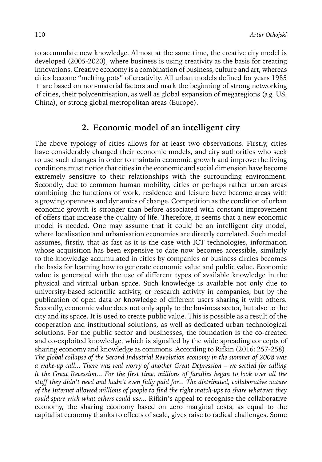to accumulate new knowledge. Almost at the same time, the creative city model is developed (2005-2020), where business is using creativity as the basis for creating innovations. Creative economy is a combination of business, culture and art, whereas cities become "melting pots" of creativity. All urban models defined for years 1985 + are based on non-material factors and mark the beginning of strong networking of cities, their polycentrisation, as well as global expansion of megaregions (*e.g.* US, China), or strong global metropolitan areas (Europe).

#### **2. Economic model of an intelligent city**

The above typology of cities allows for at least two observations. Firstly, cities have considerably changed their economic models, and city authorities who seek to use such changes in order to maintain economic growth and improve the living conditions must notice that cities in the economic and social dimension have become extremely sensitive to their relationships with the surrounding environment. Secondly, due to common human mobility, cities or perhaps rather urban areas combining the functions of work, residence and leisure have become areas with a growing openness and dynamics of change. Competition as the condition of urban economic growth is stronger than before associated with constant improvement of offers that increase the quality of life. Therefore, it seems that a new economic model is needed. One may assume that it could be an intelligent city model, where localisation and urbanisation economies are directly correlated. Such model assumes, firstly, that as fast as it is the case with ICT technologies, information whose acquisition has been expensive to date now becomes accessible, similarly to the knowledge accumulated in cities by companies or business circles becomes the basis for learning how to generate economic value and public value. Economic value is generated with the use of different types of available knowledge in the physical and virtual urban space. Such knowledge is available not only due to university-based scientific activity, or research activity in companies, but by the publication of open data or knowledge of different users sharing it with others. Secondly, economic value does not only apply to the business sector, but also to the city and its space. It is used to create public value. This is possible as a result of the cooperation and institutional solutions, as well as dedicated urban technological solutions. For the public sector and businesses, the foundation is the co-created and co-exploited knowledge, which is signalled by the wide spreading concepts of sharing economy and knowledge as commons. According to Rifkin (2016: 257-258), *The global collapse of the Second Industrial Revolution economy in the summer of 2008 was a wake-up call... There was real worry of another Great Depression – we settled for calling it the Great Recession... For the first time, millions of families began to look over all the stuff they didn't need and hadn't even fully paid for... The distributed, collaborative nature of the Internet allowed millions of people to find the right match-ups to share whatever they could spare with what others could use...* Rifkin's appeal to recognise the collaborative economy, the sharing economy based on zero marginal costs, as equal to the capitalist economy thanks to effects of scale, gives raise to radical challenges. Some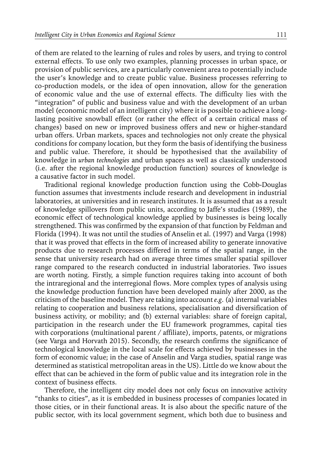of them are related to the learning of rules and roles by users, and trying to control external effects. To use only two examples, planning processes in urban space, or provision of public services, are a particularly convenient area to potentially include the user's knowledge and to create public value. Business processes referring to co-production models, or the idea of open innovation, allow for the generation of economic value and the use of external effects. The difficulty lies with the "integration" of public and business value and with the development of an urban model (economic model of an intelligent city) where it is possible to achieve a longlasting positive snowball effect (or rather the effect of a certain critical mass of changes) based on new or improved business offers and new or higher-standard urban offers. Urban markets, spaces and technologies not only create the physical conditions for company location, but they form the basis of identifying the business and public value. Therefore, it should be hypothesised that the availability of knowledge in *urban technologies* and urban spaces as well as classically understood (i.e. after the regional knowledge production function) sources of knowledge is a causative factor in such model.

Traditional regional knowledge production function using the Cobb-Douglas function assumes that investments include research and development in industrial laboratories, at universities and in research institutes. It is assumed that as a result of knowledge spillovers from public units, according to Jaffe's studies (1989), the economic effect of technological knowledge applied by businesses is being locally strengthened. This was confirmed by the expansion of that function by Feldman and Florida (1994). It was not until the studies of Anselin et al. (1997) and Varga (1998) that it was proved that effects in the form of increased ability to generate innovative products due to research processes differed in terms of the spatial range, in the sense that university research had on average three times smaller spatial spillover range compared to the research conducted in industrial laboratories. Two issues are worth noting. Firstly, a simple function requires taking into account of both the intraregional and the interregional flows. More complex types of analysis using the knowledge production function have been developed mainly after 2000, as the criticism of the baseline model. They are taking into account *e.g*. (a) internal variables relating to cooperation and business relations, specialisation and diversification of business activity, or mobility; and (b) external variables: share of foreign capital, participation in the research under the EU framework programmes, capital ties with corporations (multinational parent / affiliate), imports, patents, or migrations (see Varga and Horvath 2015). Secondly, the research confirms the significance of technological knowledge in the local scale for effects achieved by businesses in the form of economic value; in the case of Anselin and Varga studies, spatial range was determined as statistical metropolitan areas in the US). Little do we know about the effect that can be achieved in the form of public value and its integration role in the context of business effects.

Therefore, the intelligent city model does not only focus on innovative activity "thanks to cities", as it is embedded in business processes of companies located in those cities, or in their functional areas. It is also about the specific nature of the public sector, with its local government segment, which both due to business and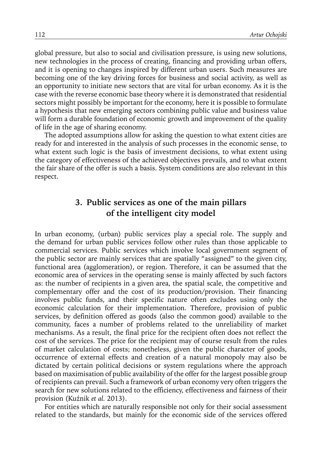global pressure, but also to social and civilisation pressure, is using new solutions, new technologies in the process of creating, financing and providing urban offers, and it is opening to changes inspired by different urban users. Such measures are becoming one of the key driving forces for business and social activity, as well as an opportunity to initiate new sectors that are vital for urban economy. As it is the case with the reverse economic base theory where it is demonstrated that residential sectors might possibly be important for the economy, here it is possible to formulate a hypothesis that new emerging sectors combining public value and business value will form a durable foundation of economic growth and improvement of the quality of life in the age of sharing economy.

The adopted assumptions allow for asking the question to what extent cities are ready for and interested in the analysis of such processes in the economic sense, to what extent such logic is the basis of investment decisions, to what extent using the category of effectiveness of the achieved objectives prevails, and to what extent the fair share of the offer is such a basis. System conditions are also relevant in this respect.

## **3. Public services as one of the main pillars of the intelligent city model**

In urban economy, (urban) public services play a special role. The supply and the demand for urban public services follow other rules than those applicable to commercial services. Public services which involve local government segment of the public sector are mainly services that are spatially "assigned" to the given city, functional area (agglomeration), or region. Therefore, it can be assumed that the economic area of services in the operating sense is mainly affected by such factors as: the number of recipients in a given area, the spatial scale, the competitive and complementary offer and the cost of its production/provision. Their financing involves public funds, and their specific nature often excludes using only the economic calculation for their implementation. Therefore, provision of public services, by definition offered as goods (also the common good) available to the community, faces a number of problems related to the unreliability of market mechanisms. As a result, the final price for the recipient often does not reflect the cost of the services. The price for the recipient may of course result from the rules of market calculation of costs; nonetheless, given the public character of goods, occurrence of external effects and creation of a natural monopoly may also be dictated by certain political decisions or system regulations where the approach based on maximisation of public availability of the offer for the largest possible group of recipients can prevail. Such a framework of urban economy very often triggers the search for new solutions related to the efficiency, effectiveness and fairness of their provision (Kuźnik *et al.* 2013).

For entities which are naturally responsible not only for their social assessment related to the standards, but mainly for the economic side of the services offered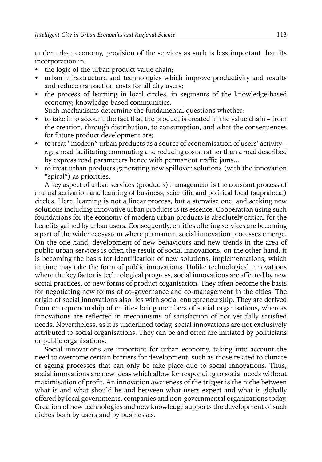under urban economy, provision of the services as such is less important than its incorporation in:

- the logic of the urban product value chain;
- urban infrastructure and technologies which improve productivity and results and reduce transaction costs for all city users;
- the process of learning in local circles, in segments of the knowledge-based economy; knowledge-based communities.

Such mechanisms determine the fundamental questions whether:

- to take into account the fact that the product is created in the value chain from the creation, through distribution, to consumption, and what the consequences for future product development are;
- to treat "modern" urban products as a source of economisation of users' activity *e.g.* a road facilitating commuting and reducing costs, rather than a road described by express road parameters hence with permanent traffic jams...
- to treat urban products generating new spillover solutions (with the innovation "spiral") as priorities.

A key aspect of urban services (products) management is the constant process of mutual activation and learning of business, scientific and political local (supralocal) circles. Here, learning is not a linear process, but a stepwise one, and seeking new solutions including innovative urban products is its essence. Cooperation using such foundations for the economy of modern urban products is absolutely critical for the benefits gained by urban users. Consequently, entities offering services are becoming a part of the wider ecosystem where permanent social innovation processes emerge. On the one hand, development of new behaviours and new trends in the area of public urban services is often the result of social innovations; on the other hand, it is becoming the basis for identification of new solutions, implementations, which in time may take the form of public innovations. Unlike technological innovations where the key factor is technological progress, social innovations are affected by new social practices, or new forms of product organisation. They often become the basis for negotiating new forms of co-governance and co-management in the cities. The origin of social innovations also lies with social entrepreneurship. They are derived from entrepreneurship of entities being members of social organisations, whereas innovations are reflected in mechanisms of satisfaction of not yet fully satisfied needs. Nevertheless, as it is underlined today, social innovations are not exclusively attributed to social organisations. They can be and often are initiated by politicians or public organisations.

Social innovations are important for urban economy, taking into account the need to overcome certain barriers for development, such as those related to climate or ageing processes that can only be take place due to social innovations. Thus, social innovations are new ideas which allow for responding to social needs without maximisation of profit. An innovation awareness of the trigger is the niche between what is and what should be and between what users expect and what is globally offered by local governments, companies and non-governmental organizations today. Creation of new technologies and new knowledge supports the development of such niches both by users and by businesses.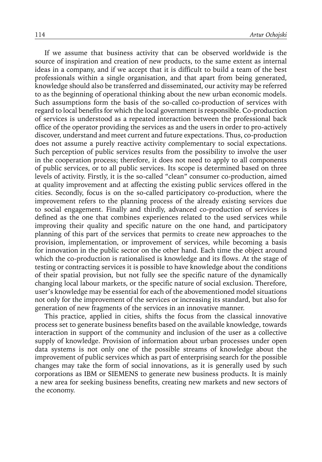If we assume that business activity that can be observed worldwide is the source of inspiration and creation of new products, to the same extent as internal ideas in a company, and if we accept that it is difficult to build a team of the best professionals within a single organisation, and that apart from being generated, knowledge should also be transferred and disseminated, our activity may be referred to as the beginning of operational thinking about the new urban economic models. Such assumptions form the basis of the so-called co-production of services with regard to local benefits for which the local government is responsible. Co-production of services is understood as a repeated interaction between the professional back office of the operator providing the services as and the users in order to pro-actively discover, understand and meet current and future expectations. Thus, co-production does not assume a purely reactive activity complementary to social expectations. Such perception of public services results from the possibility to involve the user in the cooperation process; therefore, it does not need to apply to all components of public services, or to all public services. Its scope is determined based on three levels of activity. Firstly, it is the so-called "clean" consumer co-production, aimed at quality improvement and at affecting the existing public services offered in the cities. Secondly, focus is on the so-called participatory co-production, where the improvement refers to the planning process of the already existing services due to social engagement. Finally and thirdly, advanced co-production of services is defined as the one that combines experiences related to the used services while improving their quality and specific nature on the one hand, and participatory planning of this part of the services that permits to create new approaches to the provision, implementation, or improvement of services, while becoming a basis for innovation in the public sector on the other hand. Each time the object around which the co-production is rationalised is knowledge and its flows. At the stage of testing or contracting services it is possible to have knowledge about the conditions of their spatial provision, but not fully see the specific nature of the dynamically changing local labour markets, or the specific nature of social exclusion. Therefore, user's knowledge may be essential for each of the abovementioned model situations not only for the improvement of the services or increasing its standard, but also for generation of new fragments of the services in an innovative manner.

This practice, applied in cities, shifts the focus from the classical innovative process set to generate business benefits based on the available knowledge, towards interaction in support of the community and inclusion of the user as a collective supply of knowledge. Provision of information about urban processes under open data systems is not only one of the possible streams of knowledge about the improvement of public services which as part of enterprising search for the possible changes may take the form of social innovations, as it is generally used by such corporations as IBM or SIEMENS to generate new business products. It is mainly a new area for seeking business benefits, creating new markets and new sectors of the economy.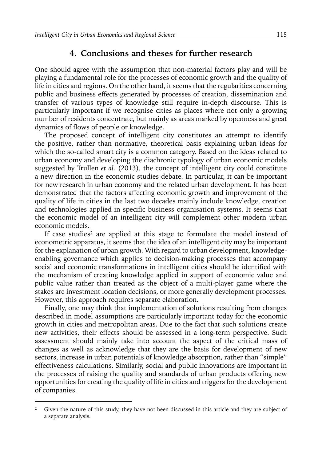### **4. Conclusions and theses for further research**

One should agree with the assumption that non-material factors play and will be playing a fundamental role for the processes of economic growth and the quality of life in cities and regions. On the other hand, it seems that the regularities concerning public and business effects generated by processes of creation, dissemination and transfer of various types of knowledge still require in-depth discourse. This is particularly important if we recognise cities as places where not only a growing number of residents concentrate, but mainly as areas marked by openness and great dynamics of flows of people or knowledge.

The proposed concept of intelligent city constitutes an attempt to identify the positive, rather than normative, theoretical basis explaining urban ideas for which the so-called smart city is a common category. Based on the ideas related to urban economy and developing the diachronic typology of urban economic models suggested by Trullen *et al.* (2013), the concept of intelligent city could constitute a new direction in the economic studies debate. In particular, it can be important for new research in urban economy and the related urban development. It has been demonstrated that the factors affecting economic growth and improvement of the quality of life in cities in the last two decades mainly include knowledge, creation and technologies applied in specific business organisation systems. It seems that the economic model of an intelligent city will complement other modern urban economic models.

If case studies<sup>2</sup> are applied at this stage to formulate the model instead of econometric apparatus, it seems that the idea of an intelligent city may be important for the explanation of urban growth. With regard to urban development, knowledgeenabling governance which applies to decision-making processes that accompany social and economic transformations in intelligent cities should be identified with the mechanism of creating knowledge applied in support of economic value and public value rather than treated as the object of a multi-player game where the stakes are investment location decisions, or more generally development processes. However, this approach requires separate elaboration.

Finally, one may think that implementation of solutions resulting from changes described in model assumptions are particularly important today for the economic growth in cities and metropolitan areas. Due to the fact that such solutions create new activities, their effects should be assessed in a long-term perspective. Such assessment should mainly take into account the aspect of the critical mass of changes as well as acknowledge that they are the basis for development of new sectors, increase in urban potentials of knowledge absorption, rather than "simple" effectiveness calculations. Similarly, social and public innovations are important in the processes of raising the quality and standards of urban products offering new opportunities for creating the quality of life in cities and triggers for the development of companies.

<sup>&</sup>lt;sup>2</sup> Given the nature of this study, they have not been discussed in this article and they are subject of a separate analysis.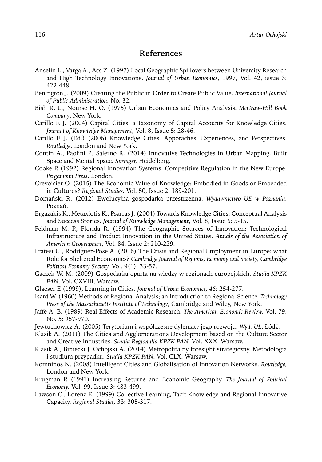#### **References**

- Anselin L., Varga A., Acs Z. (1997) Local Geographic Spillovers between University Research and High Technology Innovations. *Journal of Urban Economics*, 1997, Vol. 42, issue 3: 422-448.
- Benington J. (2009) Creating the Public in Order to Create Public Value. *International Journal of Public Administration,* No. 32.
- Bish R. L., Nourse H. O. (1975) Urban Economics and Policy Analysis. *McGraw-Hill Book Company*, New York.
- Carillo F. J. (2004) Capital Cities: a Taxonomy of Capital Accounts for Knowledge Cities. *Journal of Knowledge Management,* Vol. 8, Issue 5: 28-46.
- Carillo F. J. (Ed.) (2006) Knowledge Cities. Apporaches, Experiences, and Perspectives. *Routledge*, London and New York.
- Contin A., Paolini P., Salerno R. (2014) Innovative Technologies in Urban Mapping. Built Space and Mental Space. *Springer,* Heidelberg.
- Cooke P. (1992) Regional Innovation Systems: Competitive Regulation in the New Europe. *Pergamonn Press*. London.
- Crevoisier O. (2015) The Economic Value of Knowledge: Embodied in Goods or Embedded in Cultures? *Regional Studies,* Vol. 50, Issue 2: 189-201.
- Domański R. (2012) Ewolucyjna gospodarka przestrzenna. *Wydawnictwo UE w Poznaniu*, Poznań.
- Ergazakis K., Metaxiotis K., Psarras J. (2004) Towards Knowledge Cities: Conceptual Analysis and Success Stories. *Journal of Knowledge Management*, Vol. 8, Issue 5: 5-15.
- Feldman M. P., Florida R. (1994) The Geographic Sources of Innovation: Technological Infrastructure and Product Innovation in the United States. *Annals of the Association of American Geographers*, Vol. 84. Issue 2: 210-229.
- Fratesi U., Rodríguez-Pose A. (2016) The Crisis and Regional Employment in Europe: what Role for Sheltered Economies? *Cambridge Journal of Regions, Economy and Society, Cambridge Political Economy Society,* Vol. 9(1): 33-57.
- Gaczek W. M. (2009) Gospodarka oparta na wiedzy w regionach europejskich. *Studia KPZK PAN*, Vol. CXVIII, Warsaw.
- Glaeser E (1999), Learning in Cities. *Journal of Urban Economics, 46:* 254-277.
- Isard W. (1960) Methods of Regional Analysis; an Introduction to Regional Science. *Technology Press of the Massachusetts Institute of Technology*, Cambridge and Wiley, New York.
- Jaffe A. B. (1989) Real Effects of Academic Research. *The American Economic Review,* Vol. 79. No. 5: 957-970.
- Jewtuchowicz A. (2005) Terytorium i współczesne dylematy jego rozwoju. *Wyd. UŁ*, Łódź.
- Klasik A. (2011) The Cities and Agglomerations Development based on the Culture Sector and Creative Industries. *Studia Regionalia KPZK PAN*, Vol. XXX, Warsaw.
- Klasik A., Biniecki J. Ochojski A. (2014) Metropolitalny foresight strategiczny. Metodologia i studium przypadku. *Studia KPZK PAN*, Vol. CLX, Warsaw.
- Komninos N. (2008) Intelligent Cities and Globalisation of Innovation Networks. *Routledge,* London and New York.
- Krugman P. (1991) Increasing Returns and Economic Geography. *The Journal of Political Economy,* Vol. 99, Issue 3: 483-499.
- Lawson C., Lorenz E. (1999) Collective Learning, Tacit Knowledge and Regional Innovative Capacity. *Regional Studies,* 33: 305-317.